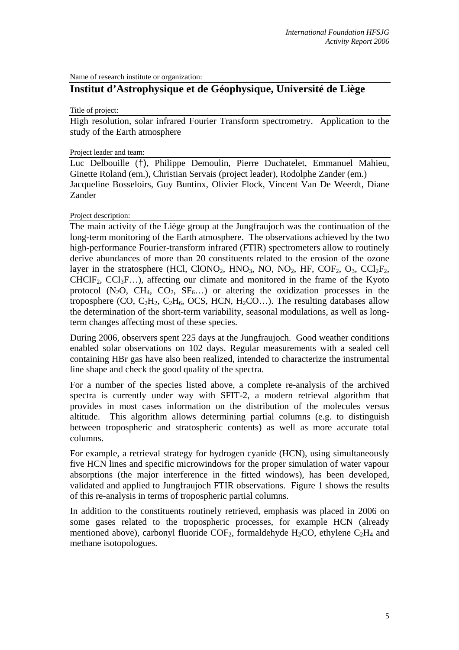Name of research institute or organization:

# **Institut d'Astrophysique et de Géophysique, Université de Liège**

Title of project:

High resolution, solar infrared Fourier Transform spectrometry. Application to the study of the Earth atmosphere

#### Project leader and team:

Luc Delbouille (†), Philippe Demoulin, Pierre Duchatelet, Emmanuel Mahieu, Ginette Roland (em.), Christian Servais (project leader), Rodolphe Zander (em.) Jacqueline Bosseloirs, Guy Buntinx, Olivier Flock, Vincent Van De Weerdt, Diane Zander

Project description:

The main activity of the Liège group at the Jungfraujoch was the continuation of the long-term monitoring of the Earth atmosphere. The observations achieved by the two high-performance Fourier-transform infrared (FTIR) spectrometers allow to routinely derive abundances of more than 20 constituents related to the erosion of the ozone layer in the stratosphere (HCl, ClONO<sub>2</sub>, HNO<sub>3</sub>, NO, NO<sub>2</sub>, HF, COF<sub>2</sub>, O<sub>3</sub>, CCl<sub>2</sub>F<sub>2</sub>,  $CHCIF<sub>2</sub>, CC1<sub>3</sub>F...$ , affecting our climate and monitored in the frame of the Kyoto protocol  $(N_2O, CH_4, CO_2, SF_6...)$  or altering the oxidization processes in the troposphere (CO,  $C_2H_2$ ,  $C_2H_6$ , OCS, HCN,  $H_2CO$ )...). The resulting databases allow the determination of the short-term variability, seasonal modulations, as well as longterm changes affecting most of these species.

During 2006, observers spent 225 days at the Jungfraujoch. Good weather conditions enabled solar observations on 102 days. Regular measurements with a sealed cell containing HBr gas have also been realized, intended to characterize the instrumental line shape and check the good quality of the spectra.

For a number of the species listed above, a complete re-analysis of the archived spectra is currently under way with SFIT-2, a modern retrieval algorithm that provides in most cases information on the distribution of the molecules versus altitude. This algorithm allows determining partial columns (e.g. to distinguish between tropospheric and stratospheric contents) as well as more accurate total columns.

For example, a retrieval strategy for hydrogen cyanide (HCN), using simultaneously five HCN lines and specific microwindows for the proper simulation of water vapour absorptions (the major interference in the fitted windows), has been developed, validated and applied to Jungfraujoch FTIR observations. Figure 1 shows the results of this re-analysis in terms of tropospheric partial columns.

In addition to the constituents routinely retrieved, emphasis was placed in 2006 on some gases related to the tropospheric processes, for example HCN (already mentioned above), carbonyl fluoride COF<sub>2</sub>, formaldehyde H<sub>2</sub>CO, ethylene C<sub>2</sub>H<sub>4</sub> and methane isotopologues.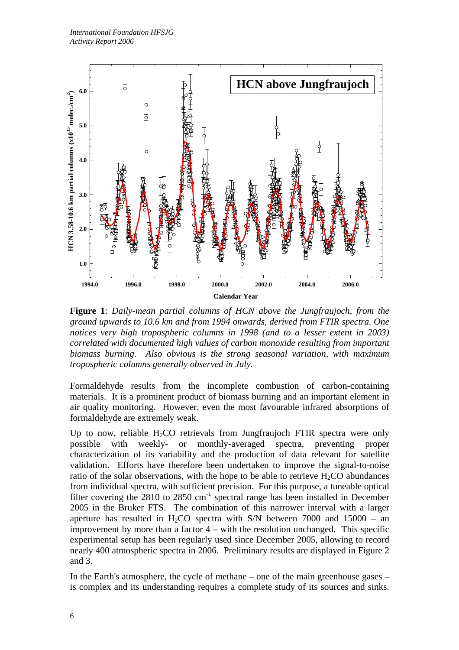

**Figure 1**: *Daily-mean partial columns of HCN above the Jungfraujoch, from the ground upwards to 10.6 km and from 1994 onwards, derived from FTIR spectra. One notices very high tropospheric columns in 1998 (and to a lesser extent in 2003) correlated with documented high values of carbon monoxide resulting from important biomass burning. Also obvious is the strong seasonal variation, with maximum tropospheric columns generally observed in July.* 

Formaldehyde results from the incomplete combustion of carbon-containing materials. It is a prominent product of biomass burning and an important element in air quality monitoring. However, even the most favourable infrared absorptions of formaldehyde are extremely weak.

Up to now, reliable  $H_2CO$  retrievals from Jungfraujoch FTIR spectra were only possible with weekly- or monthly-averaged spectra, preventing proper characterization of its variability and the production of data relevant for satellite validation. Efforts have therefore been undertaken to improve the signal-to-noise ratio of the solar observations, with the hope to be able to retrieve  $H_2CO$  abundances from individual spectra, with sufficient precision. For this purpose, a tuneable optical filter covering the 2810 to 2850  $cm^{-1}$  spectral range has been installed in December 2005 in the Bruker FTS. The combination of this narrower interval with a larger aperture has resulted in H<sub>2</sub>CO spectra with S/N between 7000 and 15000 – an improvement by more than a factor 4 – with the resolution unchanged. This specific experimental setup has been regularly used since December 2005, allowing to record nearly 400 atmospheric spectra in 2006. Preliminary results are displayed in Figure 2 and 3.

In the Earth's atmosphere, the cycle of methane – one of the main greenhouse gases – is complex and its understanding requires a complete study of its sources and sinks.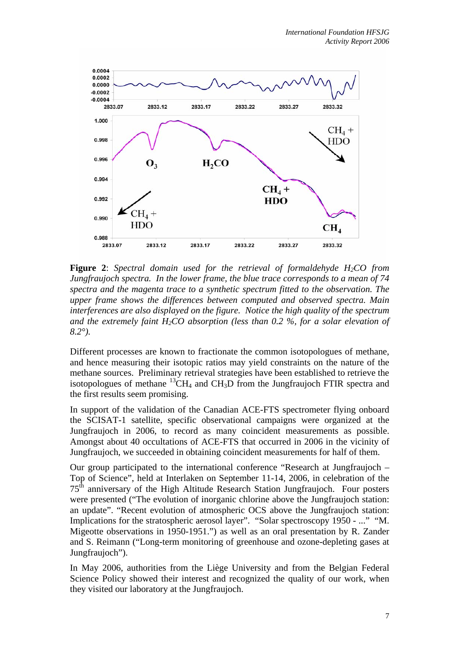

**Figure 2**: *Spectral domain used for the retrieval of formaldehyde H2CO from Jungfraujoch spectra. In the lower frame, the blue trace corresponds to a mean of 74 spectra and the magenta trace to a synthetic spectrum fitted to the observation. The upper frame shows the differences between computed and observed spectra. Main interferences are also displayed on the figure. Notice the high quality of the spectrum*  and the extremely faint  $H_2CO$  absorption (less than 0.2 %, for a solar elevation of *8.2°).*

Different processes are known to fractionate the common isotopologues of methane, and hence measuring their isotopic ratios may yield constraints on the nature of the methane sources. Preliminary retrieval strategies have been established to retrieve the isotopologues of methane  ${}^{13}CH_4$  and CH<sub>3</sub>D from the Jungfraujoch FTIR spectra and the first results seem promising.

In support of the validation of the Canadian ACE-FTS spectrometer flying onboard the SCISAT-1 satellite, specific observational campaigns were organized at the Jungfraujoch in 2006, to record as many coincident measurements as possible. Amongst about 40 occultations of ACE-FTS that occurred in 2006 in the vicinity of Jungfraujoch, we succeeded in obtaining coincident measurements for half of them.

Our group participated to the international conference "Research at Jungfraujoch – Top of Science", held at Interlaken on September 11-14, 2006, in celebration of the  $75<sup>th</sup>$  anniversary of the High Altitude Research Station Jungfraujoch. Four posters were presented ("The evolution of inorganic chlorine above the Jungfraujoch station: an update". "Recent evolution of atmospheric OCS above the Jungfraujoch station: Implications for the stratospheric aerosol layer". "Solar spectroscopy 1950 - ..." "M. Migeotte observations in 1950-1951.") as well as an oral presentation by R. Zander and S. Reimann ("Long-term monitoring of greenhouse and ozone-depleting gases at Jungfraujoch").

In May 2006, authorities from the Liège University and from the Belgian Federal Science Policy showed their interest and recognized the quality of our work, when they visited our laboratory at the Jungfraujoch.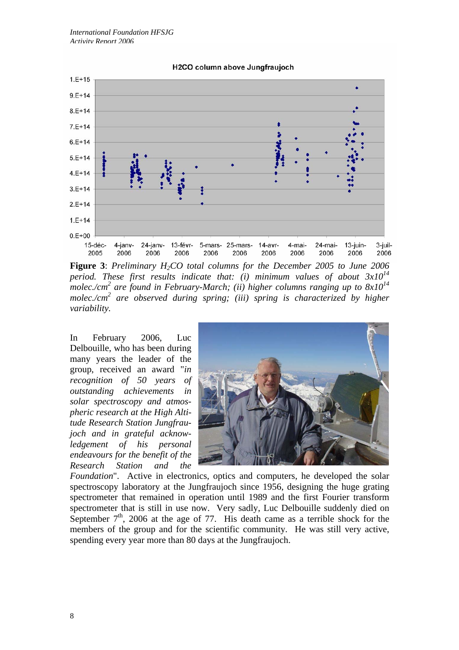

**Figure 3**: *Preliminary H2CO total columns for the December 2005 to June 2006 period. These first results indicate that: (i) minimum values of about 3x10<sup>14</sup>* <sup>-</sup><br>molec./cm<sup>2</sup> are found in February-March; (ii) higher columns ranging up to 8x10<sup>14</sup> *molec./cm2 are observed during spring; (iii) spring is characterized by higher variability.*

In February 2006, Luc Delbouille, who has been during many years the leader of the group, received an award "*in recognition of 50 years of outstanding achievements in solar spectroscopy and atmospheric research at the High Altitude Research Station Jungfraujoch and in grateful acknowledgement of his personal endeavours for the benefit of the Research Station and the* 



*Foundation*". Active in electronics, optics and computers, he developed the solar spectroscopy laboratory at the Jungfraujoch since 1956, designing the huge grating spectrometer that remained in operation until 1989 and the first Fourier transform spectrometer that is still in use now. Very sadly, Luc Delbouille suddenly died on September  $7<sup>th</sup>$ , 2006 at the age of 77. His death came as a terrible shock for the members of the group and for the scientific community. He was still very active, spending every year more than 80 days at the Jungfraujoch.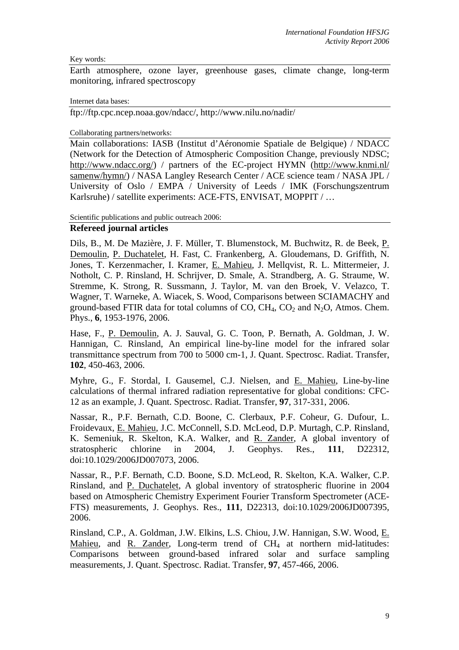### Key words:

Earth atmosphere, ozone layer, greenhouse gases, climate change, long-term monitoring, infrared spectroscopy

#### Internet data bases:

ftp://ftp.cpc.ncep.noaa.gov/ndacc/, http://www.nilu.no/nadir/

### Collaborating partners/networks:

Main collaborations: IASB (Institut d'Aéronomie Spatiale de Belgique) / NDACC (Network for the Detection of Atmospheric Composition Change, previously NDSC; http://www.ndacc.org/) / partners of the EC-project HYMN (http://www.knmi.nl/ samenw/hymn/) / NASA Langley Research Center / ACE science team / NASA JPL / University of Oslo / EMPA / University of Leeds / IMK (Forschungszentrum Karlsruhe) / satellite experiments: ACE-FTS, ENVISAT, MOPPIT / …

### Scientific publications and public outreach 2006:

### **Refereed journal articles**

Dils, B., M. De Mazière, J. F. Müller, T. Blumenstock, M. Buchwitz, R. de Beek, P. Demoulin, P. Duchatelet, H. Fast, C. Frankenberg, A. Gloudemans, D. Griffith, N. Jones, T. Kerzenmacher, I. Kramer, E. Mahieu, J. Mellqvist, R. L. Mittermeier, J. Notholt, C. P. Rinsland, H. Schrijver, D. Smale, A. Strandberg, A. G. Straume, W. Stremme, K. Strong, R. Sussmann, J. Taylor, M. van den Broek, V. Velazco, T. Wagner, T. Warneke, A. Wiacek, S. Wood, Comparisons between SCIAMACHY and ground-based FTIR data for total columns of CO,  $CH_4$ , CO<sub>2</sub> and N<sub>2</sub>O, Atmos. Chem. Phys., **6**, 1953-1976, 2006.

Hase, F., P. Demoulin, A. J. Sauval, G. C. Toon, P. Bernath, A. Goldman, J. W. Hannigan, C. Rinsland, An empirical line-by-line model for the infrared solar transmittance spectrum from 700 to 5000 cm-1, J. Quant. Spectrosc. Radiat. Transfer, **102**, 450-463, 2006.

Myhre, G., F. Stordal, I. Gausemel, C.J. Nielsen, and E. Mahieu, Line-by-line calculations of thermal infrared radiation representative for global conditions: CFC-12 as an example, J. Quant. Spectrosc. Radiat. Transfer, **97**, 317-331, 2006.

Nassar, R., P.F. Bernath, C.D. Boone, C. Clerbaux, P.F. Coheur, G. Dufour, L. Froidevaux, E. Mahieu, J.C. McConnell, S.D. McLeod, D.P. Murtagh, C.P. Rinsland, K. Semeniuk, R. Skelton, K.A. Walker, and R. Zander, A global inventory of stratospheric chlorine in 2004, J. Geophys. Res., **111**, D22312, doi:10.1029/2006JD007073, 2006.

Nassar, R., P.F. Bernath, C.D. Boone, S.D. McLeod, R. Skelton, K.A. Walker, C.P. Rinsland, and P. Duchatelet, A global inventory of stratospheric fluorine in 2004 based on Atmospheric Chemistry Experiment Fourier Transform Spectrometer (ACE-FTS) measurements, J. Geophys. Res., **111**, D22313, doi:10.1029/2006JD007395, 2006.

Rinsland, C.P., A. Goldman, J.W. Elkins, L.S. Chiou, J.W. Hannigan, S.W. Wood, E. Mahieu, and R. Zander, Long-term trend of CH<sub>4</sub> at northern mid-latitudes: Comparisons between ground-based infrared solar and surface sampling measurements, J. Quant. Spectrosc. Radiat. Transfer, **97**, 457-466, 2006.